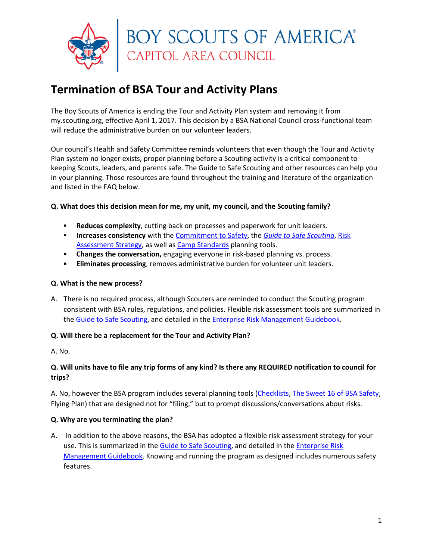

# **Termination of BSA Tour and Activity Plans**

The Boy Scouts of America is ending the Tour and Activity Plan system and removing it from my.scouting.org, effective April 1, 2017. This decision by a BSA National Council cross-functional team will reduce the administrative burden on our volunteer leaders.

Our council's Health and Safety Committee reminds volunteers that even though the Tour and Activity Plan system no longer exists, proper planning before a Scouting activity is a critical component to keeping Scouts, leaders, and parents safe. The Guide to Safe Scouting and other resources can help you in your planning. Those resources are found throughout the training and literature of the organization and listed in the FAQ below.

# **Q. What does this decision mean for me, my unit, my council, and the Scouting family?**

- **Reduces complexity**, cutting back on processes and paperwork for unit leaders.
- **Increases consistency** with the [Commitment to Safety,](http://www.scouting.org/Home/HealthandSafety/SafetyThoughts/1192016.aspx) the *[Guide to Safe Scouting](http://www.scouting.org/scoutsource/HealthandSafety/GSS.aspx)*, [Risk](http://www.scouting.org/scoutsource/HealthandSafety/GSS/gss08.aspx)  [Assessment Strategy,](http://www.scouting.org/scoutsource/HealthandSafety/GSS/gss08.aspx) as well a[s Camp Standards](http://www.scouting.org/scoutsource/OutdoorProgram/CampAccreditation.aspx) planning tools.
- **Changes the conversation,** engaging everyone in risk-based planning vs. process.
- **Eliminates processing**, removes administrative burden for volunteer unit leaders.

#### **Q. What is the new process?**

A. There is no required process, although Scouters are reminded to conduct the Scouting program consistent with BSA rules, regulations, and policies. Flexible risk assessment tools are summarized in the [Guide to Safe Scouting,](http://www.scouting.org/scoutsource/HealthandSafety/GSS/gss08.aspx) and detailed in the [Enterprise Risk Management Guidebook.](http://www.scouting.org/filestore/healthsafety/pdf/680-026.pdf)

#### **Q. Will there be a replacement for the Tour and Activity Plan?**

A. No.

# **Q. Will units have to file any trip forms of any kind? Is there any REQUIRED notification to council for trips?**

A. No, however the BSA program includes several planning tools [\(Checklists,](http://www.scouting.org/scoutsource/healthandsafety/gss/gssax.aspx) [The Sweet 16 of BSA Safety,](http://www.scouting.org/scoutsource/healthandsafety/gss/gss08.aspx#a) Flying Plan) that are designed not for "filing," but to prompt discussions/conversations about risks.

#### **Q. Why are you terminating the plan?**

A. In addition to the above reasons, the BSA has adopted a flexible risk assessment strategy for your use. This is summarized in the [Guide to Safe Scouting,](http://www.scouting.org/scoutsource/HealthandSafety/GSS/gss08.aspx) and detailed in the [Enterprise Risk](http://www.scouting.org/filestore/healthsafety/pdf/680-026.pdf)  [Management Guidebook.](http://www.scouting.org/filestore/healthsafety/pdf/680-026.pdf) Knowing and running the program as designed includes numerous safety features.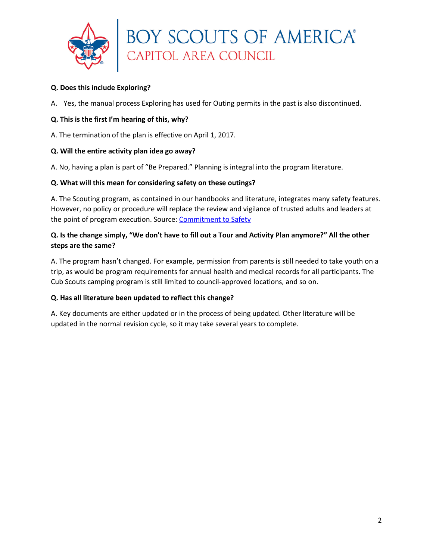

#### **Q. Does this include Exploring?**

A. Yes, the manual process Exploring has used for Outing permits in the past is also discontinued.

#### **Q. This is the first I'm hearing of this, why?**

A. The termination of the plan is effective on April 1, 2017.

#### **Q. Will the entire activity plan idea go away?**

A. No, having a plan is part of "Be Prepared." Planning is integral into the program literature.

#### **Q. What will this mean for considering safety on these outings?**

A. The Scouting program, as contained in our handbooks and literature, integrates many safety features. However, no policy or procedure will replace the review and vigilance of trusted adults and leaders at the point of program execution. Source: [Commitment to Safety](http://www.scouting.org/Home/HealthandSafety/SafetyThoughts/1192016.aspx)

# **Q. Is the change simply, "We don't have to fill out a Tour and Activity Plan anymore?" All the other steps are the same?**

A. The program hasn't changed. For example, permission from parents is still needed to take youth on a trip, as would be program requirements for annual health and medical records for all participants. The Cub Scouts camping program is still limited to council-approved locations, and so on.

# **Q. Has all literature been updated to reflect this change?**

A. Key documents are either updated or in the process of being updated. Other literature will be updated in the normal revision cycle, so it may take several years to complete.